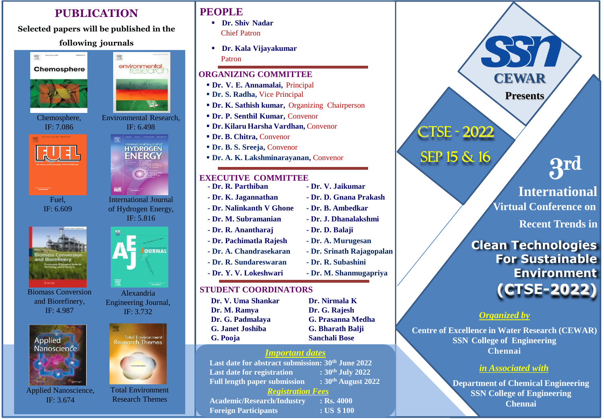## **PUBLICATION**

**Selected papers will be published in the**

## **following journals**

霐



靈



Chemosphere, IF: 7.086



Fuel,



Biomass Conversion and Biorefinery, IF: 4.987



Applied Nanoscience, IF: 3.674





Engineering Journal, IF: 3.732



Total Environment Research Themes

# **PEOPLE**

- **Dr. Shiv Nadar** Chief Patron
- **Dr. Kala Vijayakumar** Patron

#### **ORGANIZING COMMITTEE**

- **Dr. V. E. Annamalai,** Principal
- **Dr. S. Radha,** Vice Principal
- **Dr. K. Sathish kumar,** Organizing Chairperson
- **Dr. P. Senthil Kumar,** Convenor
- **Dr. Kilaru Harsha Vardhan,** Convenor
- **Dr. B. Chitra,** Convenor
- **Dr. B. S. Sreeja,** Convenor
- **Dr. A. K. Lakshminarayanan,** Convenor

#### **EXECUTIVE COMMITTEE**

se submit the abstract to **- Dr. Nalinkanth V Ghone - Dr. B. Ambedkar - Dr. R. Parthiban - Dr. V. Jaikumar - Dr. K. Jagannathan - Dr. D. Gnana Prakash - Dr. M. Subramanian - Dr. J. Dhanalakshmi - Dr. R. Anantharaj - Dr. D. Balaji - Dr. Pachimatla Rajesh - Dr. A. Murugesan - Dr. A. Chandrasekaran - Dr. Srinath Rajagopalan - Dr. R. Sundareswaran - Dr. R. Subashini - Dr. Y. V. Lokeshwari - Dr. M. Shanmugapriya**

## **STUDENT COORDINATORS**

- **Dr. V. Uma Shankar Dr. Nirmala K Dr. M. Ramya Dr. G. Rajesh G. Pooja Sanchali Bose**
- **Dr. G. Padmalaya G. Prasanna Medha G. Janet Joshiba G. Bharath Balji**

## *Important dates*

**Last date for abstract submission: 30th June 2022 Last date for registration : 30th July 2022 Full length paper submission : 30th August 2022**

## *Registration Fees*

**Academic/Research/Industry : Rs. 4000 Foreign Participants : US \$ 100**

- **Clean Technologies For Sustainable Environment**  *Organized by* **Centre of Excellence in Water Research (CEWAR) SSN College of Engineering** CTSE - 2022 SEP 15 & 16 IF: 6.609 of Hydrogen Energy, **Princed Access 19th Princed Access 19th Princed Access 19th Princed Access 19th Princed Access 19th Princed Access 19th Princed Access 19th Princed Access 19th Princed Access 19th Princed Acc** Alexandria **(CTSE-2022)** STUDENT COORDINATORS 3 rd **International Recent Trends in CEWAR Presents**
	- **Chennai**

## *in Associated with*

**Department of Chemical Engineering SSN College of Engineering Chennai**